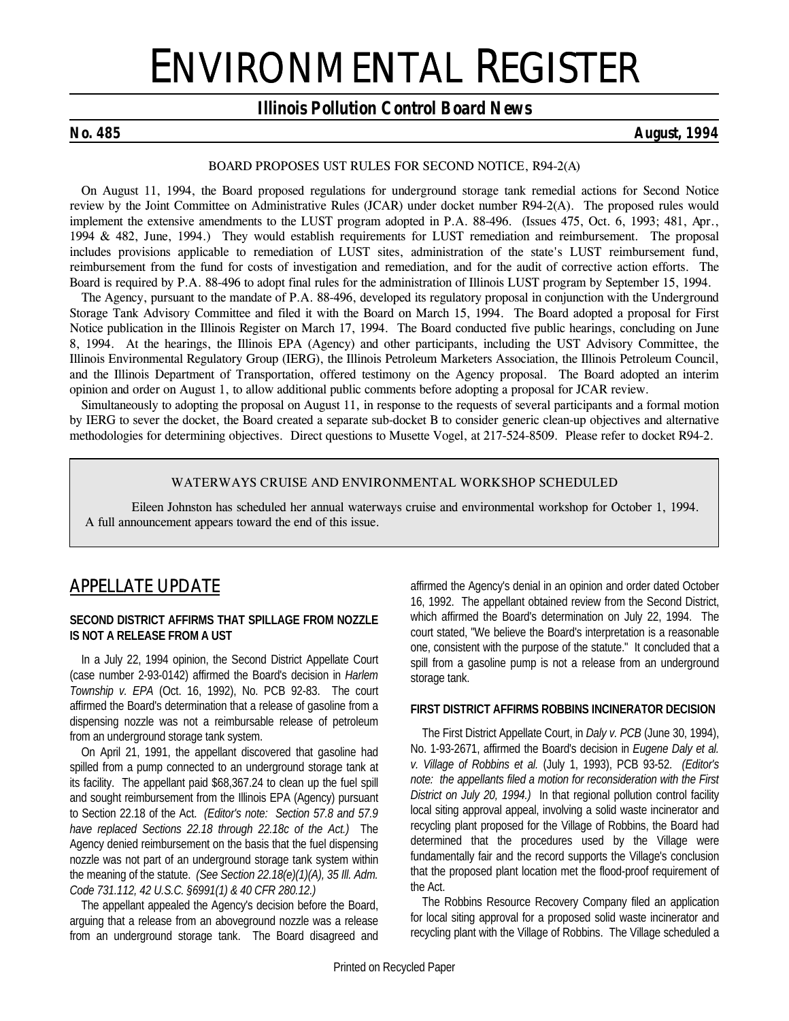# ENVIRONMENTAL REGISTER

# *Illinois Pollution Control Board News*

# *No. 485 August, 1994*

### *BOARD PROPOSES UST RULES FOR SECOND NOTICE, R94-2(A)*

On August 11, 1994, the Board proposed regulations for underground storage tank remedial actions for Second Notice review by the Joint Committee on Administrative Rules (JCAR) under docket number R94-2(A). The proposed rules would implement the extensive amendments to the LUST program adopted in P.A. 88-496. *(Issues 475, Oct. 6, 1993; 481, Apr., 1994 & 482, June, 1994.)* They would establish requirements for LUST remediation and reimbursement. The proposal includes provisions applicable to remediation of LUST sites, administration of the state's LUST reimbursement fund, reimbursement from the fund for costs of investigation and remediation, and for the audit of corrective action efforts. The Board is required by P.A. 88-496 to adopt final rules for the administration of Illinois LUST program by September 15, 1994.

The Agency, pursuant to the mandate of P.A. 88-496, developed its regulatory proposal in conjunction with the Underground Storage Tank Advisory Committee and filed it with the Board on March 15, 1994. The Board adopted a proposal for First Notice publication in the *Illinois Register* on March 17, 1994. The Board conducted five public hearings, concluding on June 8, 1994. At the hearings, the Illinois EPA (Agency) and other participants, including the UST Advisory Committee, the Illinois Environmental Regulatory Group (IERG), the Illinois Petroleum Marketers Association, the Illinois Petroleum Council, and the Illinois Department of Transportation, offered testimony on the Agency proposal. The Board adopted an interim opinion and order on August 1, to allow additional public comments before adopting a proposal for JCAR review.

Simultaneously to adopting the proposal on August 11, in response to the requests of several participants and a formal motion by IERG to sever the docket, the Board created a separate sub-docket B to consider generic clean-up objectives and alternative methodologies for determining objectives. Direct questions to Musette Vogel, at 217-524-8509. Please refer to docket R94-2.

## **WATERWAYS CRUISE AND ENVIRONMENTAL WORKSHOP SCHEDULED**

Eileen Johnston has scheduled her annual waterways cruise and environmental workshop for October 1, 1994. A full announcement appears toward the end of this issue.

# *APPELLATE UPDATE*

#### **SECOND DISTRICT AFFIRMS THAT SPILLAGE FROM NOZZLE IS NOT A RELEASE FROM A UST**

In a July 22, 1994 opinion, the Second District Appellate Court (case number 2-93-0142) affirmed the Board's decision in *Harlem Township v. EPA* (Oct. 16, 1992), No. PCB 92-83. The court affirmed the Board's determination that a release of gasoline from a dispensing nozzle was not a reimbursable release of petroleum from an underground storage tank system.

On April 21, 1991, the appellant discovered that gasoline had spilled from a pump connected to an underground storage tank at its facility. The appellant paid \$68,367.24 to clean up the fuel spill and sought reimbursement from the Illinois EPA (Agency) pursuant to Section 22.18 of the Act. *(Editor's note: Section 57.8 and 57.9 have replaced Sections 22.18 through 22.18c of the Act.)* The Agency denied reimbursement on the basis that the fuel dispensing nozzle was not part of an underground storage tank system within the meaning of the statute. *(See Section 22.18(e)(1)(A), 35 Ill. Adm. Code 731.112, 42 U.S.C. §6991(1) & 40 CFR 280.12.)*

The appellant appealed the Agency's decision before the Board, arguing that a release from an aboveground nozzle was a release from an underground storage tank. The Board disagreed and affirmed the Agency's denial in an opinion and order dated October 16, 1992. The appellant obtained review from the Second District, which affirmed the Board's determination on July 22, 1994. The court stated, "We believe the Board's interpretation is a reasonable one, consistent with the purpose of the statute." It concluded that a spill from a gasoline pump is not a release from an underground storage tank.

## **FIRST DISTRICT AFFIRMS ROBBINS INCINERATOR DECISION**

The First District Appellate Court, in *Daly v. PCB* (June 30, 1994), No. 1-93-2671, affirmed the Board's decision in *Eugene Daly et al. v. Village of Robbins et al.* (July 1, 1993), PCB 93-52. *(Editor's note: the appellants filed a motion for reconsideration with the First District on July 20, 1994.)* In that regional pollution control facility local siting approval appeal, involving a solid waste incinerator and recycling plant proposed for the Village of Robbins, the Board had determined that the procedures used by the Village were fundamentally fair and the record supports the Village's conclusion that the proposed plant location met the flood-proof requirement of the Act.

The Robbins Resource Recovery Company filed an application for local siting approval for a proposed solid waste incinerator and recycling plant with the Village of Robbins. The Village scheduled a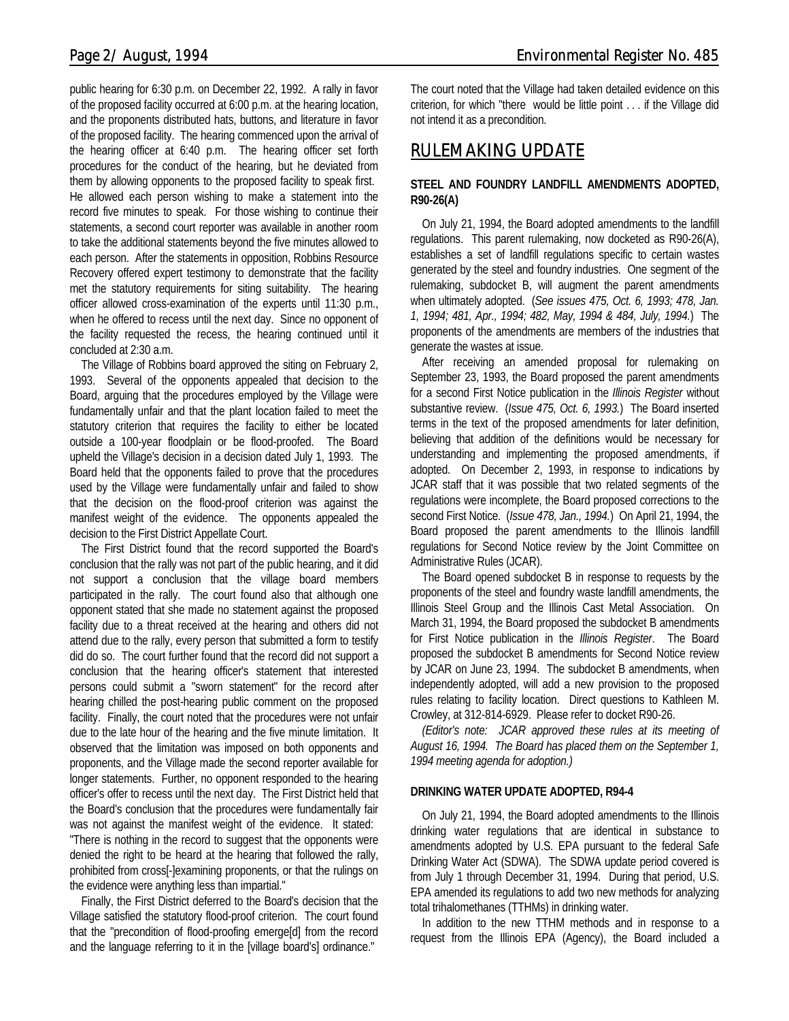public hearing for 6:30 p.m. on December 22, 1992. A rally in favor of the proposed facility occurred at 6:00 p.m. at the hearing location, and the proponents distributed hats, buttons, and literature in favor of the proposed facility. The hearing commenced upon the arrival of the hearing officer at 6:40 p.m. The hearing officer set forth procedures for the conduct of the hearing, but he deviated from them by allowing opponents to the proposed facility to speak first. He allowed each person wishing to make a statement into the record five minutes to speak. For those wishing to continue their statements, a second court reporter was available in another room to take the additional statements beyond the five minutes allowed to each person. After the statements in opposition, Robbins Resource Recovery offered expert testimony to demonstrate that the facility met the statutory requirements for siting suitability. The hearing officer allowed cross-examination of the experts until 11:30 p.m., when he offered to recess until the next day. Since no opponent of the facility requested the recess, the hearing continued until it concluded at 2:30 a.m.

The Village of Robbins board approved the siting on February 2, 1993. Several of the opponents appealed that decision to the Board, arguing that the procedures employed by the Village were fundamentally unfair and that the plant location failed to meet the statutory criterion that requires the facility to either be located outside a 100-year floodplain or be flood-proofed. The Board upheld the Village's decision in a decision dated July 1, 1993. The Board held that the opponents failed to prove that the procedures used by the Village were fundamentally unfair and failed to show that the decision on the flood-proof criterion was against the manifest weight of the evidence. The opponents appealed the decision to the First District Appellate Court.

The First District found that the record supported the Board's conclusion that the rally was not part of the public hearing, and it did not support a conclusion that the village board members participated in the rally. The court found also that although one opponent stated that she made no statement against the proposed facility due to a threat received at the hearing and others did not attend due to the rally, every person that submitted a form to testify did do so. The court further found that the record did not support a conclusion that the hearing officer's statement that interested persons could submit a "sworn statement" for the record after hearing chilled the post-hearing public comment on the proposed facility. Finally, the court noted that the procedures were not unfair due to the late hour of the hearing and the five minute limitation. It observed that the limitation was imposed on both opponents and proponents, and the Village made the second reporter available for longer statements. Further, no opponent responded to the hearing officer's offer to recess until the next day. The First District held that the Board's conclusion that the procedures were fundamentally fair was not against the manifest weight of the evidence. It stated: "There is nothing in the record to suggest that the opponents were denied the right to be heard at the hearing that followed the rally, prohibited from cross[-]examining proponents, or that the rulings on the evidence were anything less than impartial."

Finally, the First District deferred to the Board's decision that the Village satisfied the statutory flood-proof criterion. The court found that the "precondition of flood-proofing emerge[d] from the record and the language referring to it in the [village board's] ordinance."

The court noted that the Village had taken detailed evidence on this criterion, for which "there would be little point . . . if the Village did not intend it as a precondition.

# *RULEMAKING UPDATE*

# **STEEL AND FOUNDRY LANDFILL AMENDMENTS ADOPTED, R90-26(A)**

On July 21, 1994, the Board adopted amendments to the landfill regulations. This parent rulemaking, now docketed as R90-26(A), establishes a set of landfill regulations specific to certain wastes generated by the steel and foundry industries. One segment of the rulemaking, subdocket B, will augment the parent amendments when ultimately adopted. (*See issues 475, Oct. 6, 1993; 478, Jan. 1, 1994; 481, Apr., 1994; 482, May, 1994 & 484, July, 1994.*) The proponents of the amendments are members of the industries that generate the wastes at issue.

After receiving an amended proposal for rulemaking on September 23, 1993, the Board proposed the parent amendments for a second First Notice publication in the *Illinois Register* without substantive review. (*Issue 475, Oct. 6, 1993.*) The Board inserted terms in the text of the proposed amendments for later definition, believing that addition of the definitions would be necessary for understanding and implementing the proposed amendments, if adopted. On December 2, 1993, in response to indications by JCAR staff that it was possible that two related segments of the regulations were incomplete, the Board proposed corrections to the second First Notice. (*Issue 478, Jan., 1994.*) On April 21, 1994, the Board proposed the parent amendments to the Illinois landfill regulations for Second Notice review by the Joint Committee on Administrative Rules (JCAR).

The Board opened subdocket B in response to requests by the proponents of the steel and foundry waste landfill amendments, the Illinois Steel Group and the Illinois Cast Metal Association. On March 31, 1994, the Board proposed the subdocket B amendments for First Notice publication in the *Illinois Register*. The Board proposed the subdocket B amendments for Second Notice review by JCAR on June 23, 1994. The subdocket B amendments, when independently adopted, will add a new provision to the proposed rules relating to facility location. Direct questions to Kathleen M. Crowley, at 312-814-6929. Please refer to docket R90-26.

*(Editor's note: JCAR approved these rules at its meeting of August 16, 1994. The Board has placed them on the September 1, 1994 meeting agenda for adoption.)*

# **DRINKING WATER UPDATE ADOPTED, R94-4**

On July 21, 1994, the Board adopted amendments to the Illinois drinking water regulations that are identical in substance to amendments adopted by U.S. EPA pursuant to the federal Safe Drinking Water Act (SDWA). The SDWA update period covered is from July 1 through December 31, 1994. During that period, U.S. EPA amended its regulations to add two new methods for analyzing total trihalomethanes (TTHMs) in drinking water.

In addition to the new TTHM methods and in response to a request from the Illinois EPA (Agency), the Board included a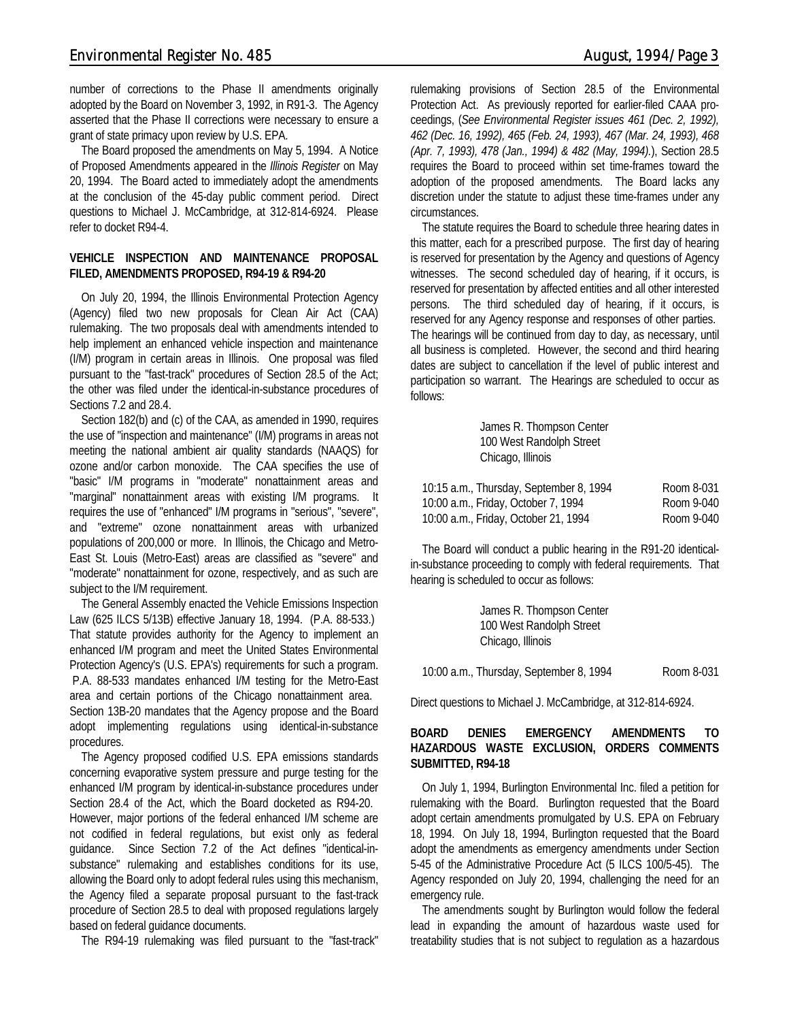number of corrections to the Phase II amendments originally adopted by the Board on November 3, 1992, in R91-3. The Agency asserted that the Phase II corrections were necessary to ensure a grant of state primacy upon review by U.S. EPA.

The Board proposed the amendments on May 5, 1994. A Notice of Proposed Amendments appeared in the *Illinois Register* on May 20, 1994. The Board acted to immediately adopt the amendments at the conclusion of the 45-day public comment period. Direct questions to Michael J. McCambridge, at 312-814-6924. Please refer to docket R94-4.

#### **VEHICLE INSPECTION AND MAINTENANCE PROPOSAL FILED, AMENDMENTS PROPOSED, R94-19 & R94-20**

On July 20, 1994, the Illinois Environmental Protection Agency (Agency) filed two new proposals for Clean Air Act (CAA) rulemaking. The two proposals deal with amendments intended to help implement an enhanced vehicle inspection and maintenance (I/M) program in certain areas in Illinois. One proposal was filed pursuant to the "fast-track" procedures of Section 28.5 of the Act; the other was filed under the identical-in-substance procedures of Sections 7.2 and 28.4.

Section 182(b) and (c) of the CAA, as amended in 1990, requires the use of "inspection and maintenance" (I/M) programs in areas not meeting the national ambient air quality standards (NAAQS) for ozone and/or carbon monoxide. The CAA specifies the use of "basic" I/M programs in "moderate" nonattainment areas and "marginal" nonattainment areas with existing I/M programs. It requires the use of "enhanced" I/M programs in "serious", "severe", and "extreme" ozone nonattainment areas with urbanized populations of 200,000 or more. In Illinois, the Chicago and Metro-East St. Louis (Metro-East) areas are classified as "severe" and "moderate" nonattainment for ozone, respectively, and as such are subject to the I/M requirement.

The General Assembly enacted the Vehicle Emissions Inspection Law (625 ILCS 5/13B) effective January 18, 1994. (P.A. 88-533.) That statute provides authority for the Agency to implement an enhanced I/M program and meet the United States Environmental Protection Agency's (U.S. EPA's) requirements for such a program. P.A. 88-533 mandates enhanced I/M testing for the Metro-East area and certain portions of the Chicago nonattainment area. Section 13B-20 mandates that the Agency propose and the Board adopt implementing regulations using identical-in-substance procedures.

The Agency proposed codified U.S. EPA emissions standards concerning evaporative system pressure and purge testing for the enhanced I/M program by identical-in-substance procedures under Section 28.4 of the Act, which the Board docketed as R94-20. However, major portions of the federal enhanced I/M scheme are not codified in federal regulations, but exist only as federal guidance. Since Section 7.2 of the Act defines "identical-insubstance" rulemaking and establishes conditions for its use, allowing the Board only to adopt federal rules using this mechanism, the Agency filed a separate proposal pursuant to the fast-track procedure of Section 28.5 to deal with proposed regulations largely based on federal guidance documents.

The R94-19 rulemaking was filed pursuant to the "fast-track"

rulemaking provisions of Section 28.5 of the Environmental Protection Act. As previously reported for earlier-filed CAAA proceedings, (*See Environmental Register issues 461 (Dec. 2, 1992), 462 (Dec. 16, 1992), 465 (Feb. 24, 1993), 467 (Mar. 24, 1993), 468 (Apr. 7, 1993), 478 (Jan., 1994) & 482 (May, 1994).*), Section 28.5 requires the Board to proceed within set time-frames toward the adoption of the proposed amendments. The Board lacks any discretion under the statute to adjust these time-frames under any circumstances.

The statute requires the Board to schedule three hearing dates in this matter, each for a prescribed purpose. The first day of hearing is reserved for presentation by the Agency and questions of Agency witnesses. The second scheduled day of hearing, if it occurs, is reserved for presentation by affected entities and all other interested persons. The third scheduled day of hearing, if it occurs, is reserved for any Agency response and responses of other parties. The hearings will be continued from day to day, as necessary, until all business is completed. However, the second and third hearing dates are subject to cancellation if the level of public interest and participation so warrant. The Hearings are scheduled to occur as follows:

| James R. Thompson Center                |            |
|-----------------------------------------|------------|
| 100 West Randolph Street                |            |
| Chicago, Illinois                       |            |
| 10:15 a.m., Thursday, September 8, 1994 | Room 8-031 |
| 10:00 a.m., Friday, October 7, 1994     | Room 9-040 |
| 10:00 a.m., Friday, October 21, 1994    | Room 9-040 |

The Board will conduct a public hearing in the R91-20 identicalin-substance proceeding to comply with federal requirements. That hearing is scheduled to occur as follows:

| James R. Thompson Center                |            |
|-----------------------------------------|------------|
| 100 West Randolph Street                |            |
| Chicago, Illinois                       |            |
| 10:00 a.m., Thursday, September 8, 1994 | Room 8-031 |

Direct questions to Michael J. McCambridge, at 312-814-6924.

### **BOARD DENIES EMERGENCY AMENDMENTS TO HAZARDOUS WASTE EXCLUSION, ORDERS COMMENTS SUBMITTED, R94-18**

On July 1, 1994, Burlington Environmental Inc. filed a petition for rulemaking with the Board. Burlington requested that the Board adopt certain amendments promulgated by U.S. EPA on February 18, 1994. On July 18, 1994, Burlington requested that the Board adopt the amendments as emergency amendments under Section 5-45 of the Administrative Procedure Act (5 ILCS 100/5-45). The Agency responded on July 20, 1994, challenging the need for an emergency rule.

The amendments sought by Burlington would follow the federal lead in expanding the amount of hazardous waste used for treatability studies that is not subject to regulation as a hazardous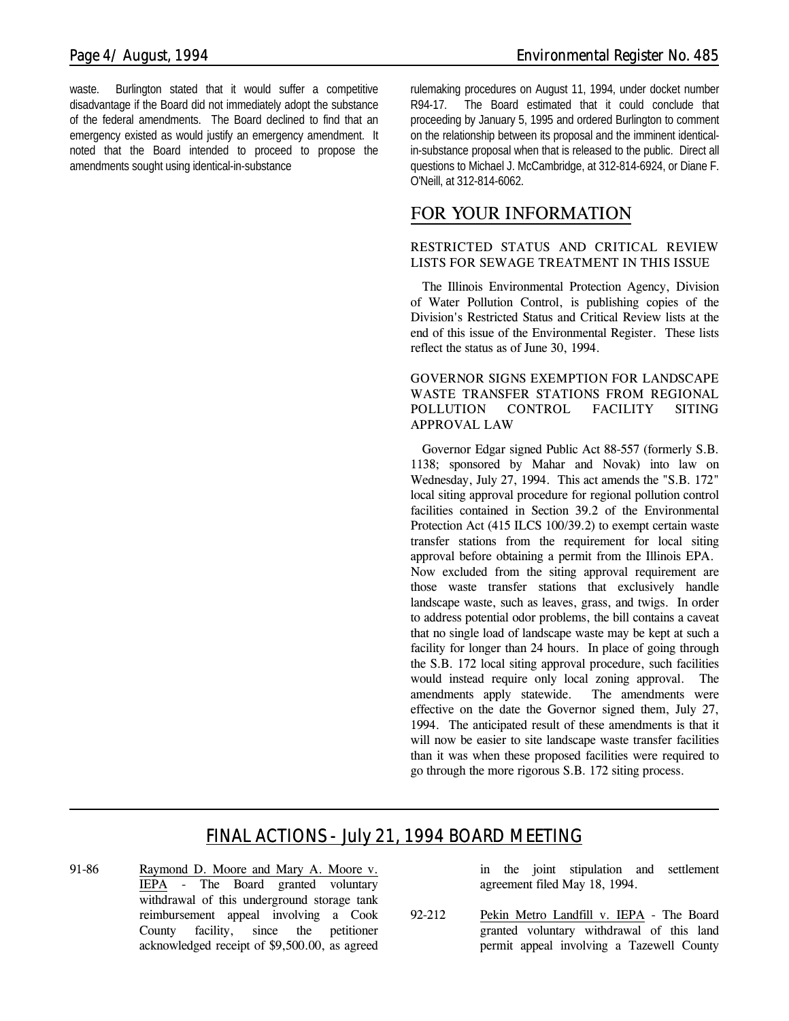waste. Burlington stated that it would suffer a competitive disadvantage if the Board did not immediately adopt the substance of the federal amendments. The Board declined to find that an emergency existed as would justify an emergency amendment. It noted that the Board intended to proceed to propose the amendments sought using identical-in-substance

rulemaking procedures on August 11, 1994, under docket number R94-17. The Board estimated that it could conclude that proceeding by January 5, 1995 and ordered Burlington to comment on the relationship between its proposal and the imminent identicalin-substance proposal when that is released to the public. Direct all questions to Michael J. McCambridge, at 312-814-6924, or Diane F. O'Neill, at 312-814-6062.

# *FOR YOUR INFORMATION*

## **RESTRICTED STATUS AND CRITICAL REVIEW LISTS FOR SEWAGE TREATMENT IN THIS ISSUE**

The Illinois Environmental Protection Agency, Division of Water Pollution Control, is publishing copies of the Division's Restricted Status and Critical Review lists at the end of this issue of the Environmental Register. These lists reflect the status as of June 30, 1994.

### **GOVERNOR SIGNS EXEMPTION FOR LANDSCAPE WASTE TRANSFER STATIONS FROM REGIONAL POLLUTION CONTROL FACILITY SITING APPROVAL LAW**

Governor Edgar signed Public Act 88-557 (formerly S.B. 1138; sponsored by Mahar and Novak) into law on Wednesday, July 27, 1994. This act amends the "S.B. 172" local siting approval procedure for regional pollution control facilities contained in Section 39.2 of the Environmental Protection Act (415 ILCS 100/39.2) to exempt certain waste transfer stations from the requirement for local siting approval before obtaining a permit from the Illinois EPA. Now excluded from the siting approval requirement are those waste transfer stations that exclusively handle landscape waste, such as leaves, grass, and twigs. In order to address potential odor problems, the bill contains a caveat that no single load of landscape waste may be kept at such a facility for longer than 24 hours. In place of going through the S.B. 172 local siting approval procedure, such facilities would instead require only local zoning approval. The amendments apply statewide. The amendments were effective on the date the Governor signed them, July 27, 1994. The anticipated result of these amendments is that it will now be easier to site landscape waste transfer facilities than it was when these proposed facilities were required to go through the more rigorous S.B. 172 siting process.

# *FINAL ACTIONS - July 21, 1994 BOARD MEETING*

91-86 Raymond D. Moore and Mary A. Moore v. IEPA - The Board granted voluntary withdrawal of this underground storage tank reimbursement appeal involving a Cook County facility, since the petitioner acknowledged receipt of \$9,500.00, as agreed in the joint stipulation and settlement agreement filed May 18, 1994.

92-212 Pekin Metro Landfill v. IEPA - The Board granted voluntary withdrawal of this land permit appeal involving a Tazewell County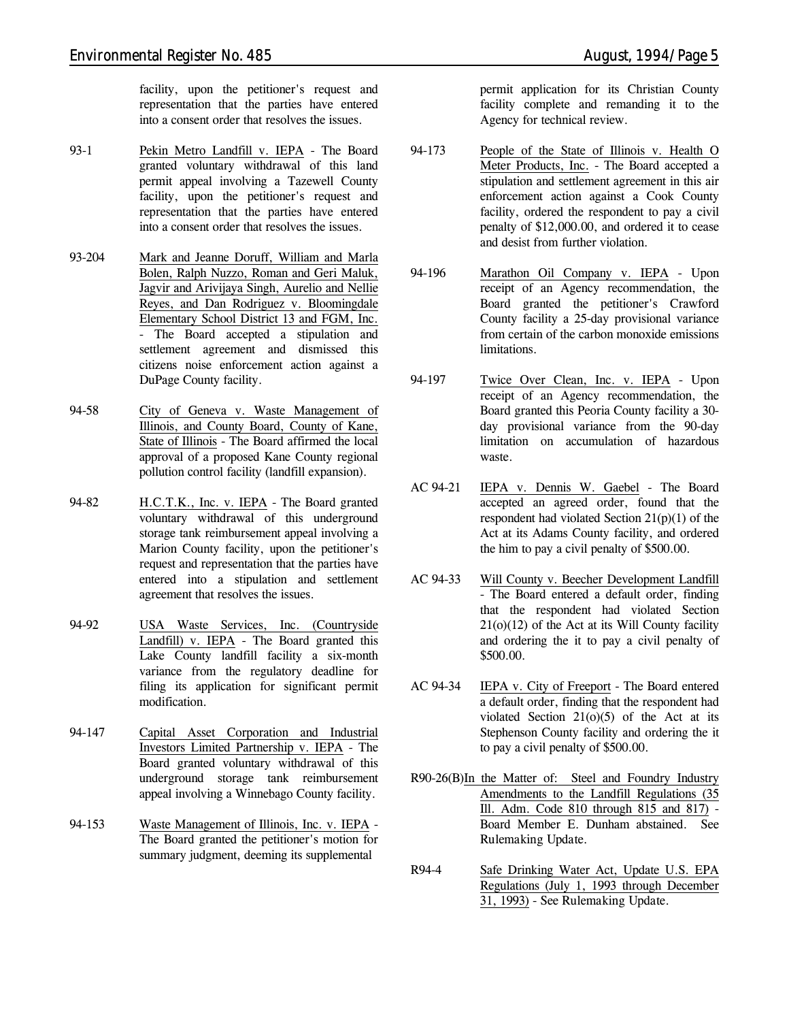facility, upon the petitioner's request and representation that the parties have entered into a consent order that resolves the issues.

- 93-1 Pekin Metro Landfill v. IEPA The Board granted voluntary withdrawal of this land permit appeal involving a Tazewell County facility, upon the petitioner's request and representation that the parties have entered into a consent order that resolves the issues.
- 93-204 Mark and Jeanne Doruff, William and Marla Bolen, Ralph Nuzzo, Roman and Geri Maluk, Jagvir and Arivijaya Singh, Aurelio and Nellie Reyes, and Dan Rodriguez v. Bloomingdale Elementary School District 13 and FGM, Inc. - The Board accepted a stipulation and settlement agreement and dismissed this citizens noise enforcement action against a DuPage County facility.
- 94-58 City of Geneva v. Waste Management of Illinois, and County Board, County of Kane, State of Illinois - The Board affirmed the local approval of a proposed Kane County regional pollution control facility (landfill expansion).
- 94-82 H.C.T.K., Inc. v. IEPA The Board granted voluntary withdrawal of this underground storage tank reimbursement appeal involving a Marion County facility, upon the petitioner's request and representation that the parties have entered into a stipulation and settlement agreement that resolves the issues.
- 94-92 USA Waste Services, Inc. (Countryside Landfill) v. IEPA - The Board granted this Lake County landfill facility a six-month variance from the regulatory deadline for filing its application for significant permit modification.
- 94-147 Capital Asset Corporation and Industrial Investors Limited Partnership v. IEPA - The Board granted voluntary withdrawal of this underground storage tank reimbursement appeal involving a Winnebago County facility.
- 94-153 Waste Management of Illinois, Inc. v. IEPA The Board granted the petitioner's motion for summary judgment, deeming its supplemental

permit application for its Christian County facility complete and remanding it to the Agency for technical review.

- 94-173 People of the State of Illinois v. Health O Meter Products, Inc. - The Board accepted a stipulation and settlement agreement in this air enforcement action against a Cook County facility, ordered the respondent to pay a civil penalty of \$12,000.00, and ordered it to cease and desist from further violation.
- 94-196 Marathon Oil Company v. IEPA Upon receipt of an Agency recommendation, the Board granted the petitioner's Crawford County facility a 25-day provisional variance from certain of the carbon monoxide emissions limitations.
- 94-197 Twice Over Clean, Inc. v. IEPA Upon receipt of an Agency recommendation, the Board granted this Peoria County facility a 30 day provisional variance from the 90-day limitation on accumulation of hazardous waste.
- AC 94-21 IEPA v. Dennis W. Gaebel The Board accepted an agreed order, found that the respondent had violated Section 21(p)(1) of the Act at its Adams County facility, and ordered the him to pay a civil penalty of \$500.00.
- AC 94-33 Will County v. Beecher Development Landfill - The Board entered a default order, finding that the respondent had violated Section  $21(0)(12)$  of the Act at its Will County facility and ordering the it to pay a civil penalty of \$500.00.
- AC 94-34 IEPA v. City of Freeport The Board entered a default order, finding that the respondent had violated Section  $21(0)(5)$  of the Act at its Stephenson County facility and ordering the it to pay a civil penalty of \$500.00.
- R90-26(B)In the Matter of: Steel and Foundry Industry Amendments to the Landfill Regulations (35 Ill. Adm. Code 810 through 815 and 817) - Board Member E. Dunham abstained. *See Rulemaking Update.*
- R94-4 Safe Drinking Water Act, Update U.S. EPA Regulations (July 1, 1993 through December 31, 1993) - *See Rulemaking Update.*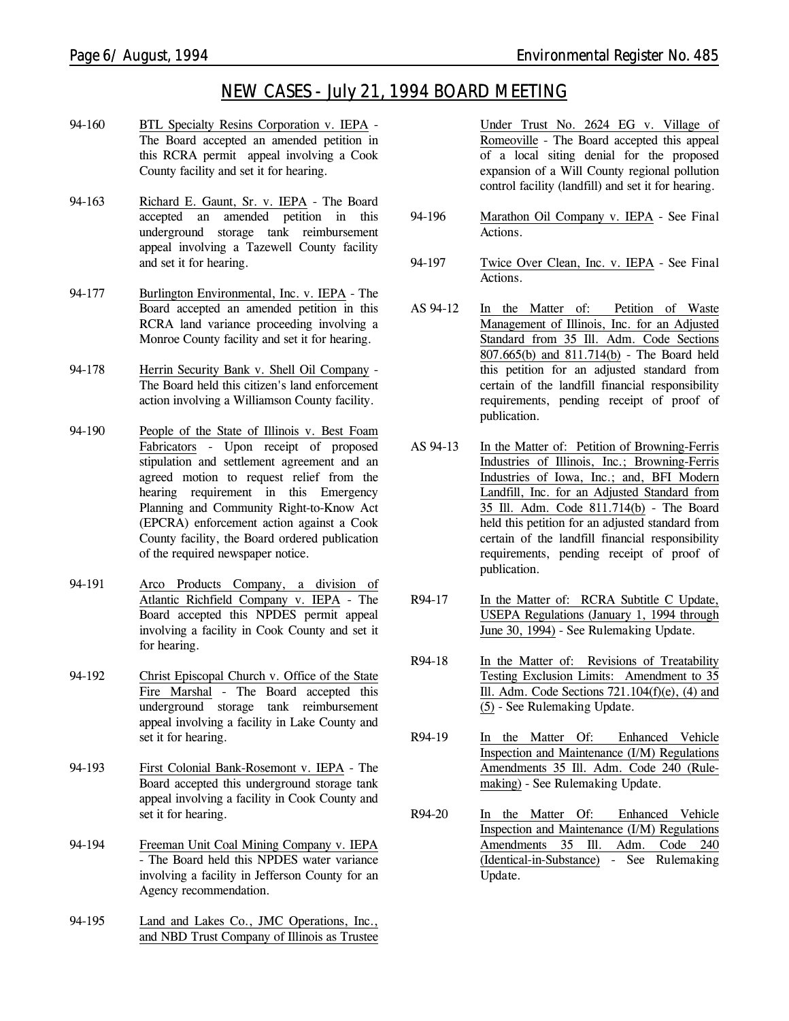# *NEW CASES - July 21, 1994 BOARD MEETING*

- 94-160 BTL Specialty Resins Corporation v. IEPA The Board accepted an amended petition in this RCRA permit appeal involving a Cook County facility and set it for hearing.
- 94-163 Richard E. Gaunt, Sr. v. IEPA The Board accepted an amended petition in this underground storage tank reimbursement appeal involving a Tazewell County facility and set it for hearing.
- 94-177 Burlington Environmental, Inc. v. IEPA The Board accepted an amended petition in this RCRA land variance proceeding involving a Monroe County facility and set it for hearing.
- 94-178 Herrin Security Bank v. Shell Oil Company The Board held this citizen's land enforcement action involving a Williamson County facility.
- 94-190 People of the State of Illinois v. Best Foam Fabricators - Upon receipt of proposed stipulation and settlement agreement and an agreed motion to request relief from the hearing requirement in this Emergency Planning and Community Right-to-Know Act (EPCRA) enforcement action against a Cook County facility, the Board ordered publication of the required newspaper notice.
- 94-191 Arco Products Company, a division of Atlantic Richfield Company v. IEPA - The Board accepted this NPDES permit appeal involving a facility in Cook County and set it for hearing.
- 94-192 Christ Episcopal Church v. Office of the State Fire Marshal - The Board accepted this underground storage tank reimbursement appeal involving a facility in Lake County and set it for hearing.
- 94-193 First Colonial Bank-Rosemont v. IEPA The Board accepted this underground storage tank appeal involving a facility in Cook County and set it for hearing.
- 94-194 Freeman Unit Coal Mining Company v. IEPA - The Board held this NPDES water variance involving a facility in Jefferson County for an Agency recommendation.
- 94-195 Land and Lakes Co., JMC Operations, Inc., and NBD Trust Company of Illinois as Trustee

Under Trust No. 2624 EG v. Village of Romeoville - The Board accepted this appeal of a local siting denial for the proposed expansion of a Will County regional pollution control facility (landfill) and set it for hearing.

- 94-196 Marathon Oil Company v. IEPA *See Final Actions.*
- 94-197 Twice Over Clean, Inc. v. IEPA *See Final Actions.*
- AS 94-12 In the Matter of: Petition of Waste Management of Illinois, Inc. for an Adjusted Standard from 35 Ill. Adm. Code Sections 807.665(b) and 811.714(b) - The Board held this petition for an adjusted standard from certain of the landfill financial responsibility requirements, pending receipt of proof of publication.
- AS 94-13 In the Matter of: Petition of Browning-Ferris Industries of Illinois, Inc.; Browning-Ferris Industries of Iowa, Inc.; and, BFI Modern Landfill, Inc. for an Adjusted Standard from 35 Ill. Adm. Code 811.714(b) - The Board held this petition for an adjusted standard from certain of the landfill financial responsibility requirements, pending receipt of proof of publication.
- R94-17 In the Matter of: RCRA Subtitle C Update, USEPA Regulations (January 1, 1994 through June 30, 1994) - *See Rulemaking Update.*
- R94-18 In the Matter of: Revisions of Treatability Testing Exclusion Limits: Amendment to 35 Ill. Adm. Code Sections 721.104(f)(e), (4) and (5) - *See Rulemaking Update.*
- R94-19 In the Matter Of: Enhanced Vehicle Inspection and Maintenance (I/M) Regulations Amendments 35 Ill. Adm. Code 240 (Rulemaking) - *See Rulemaking Update.*
- R94-20 In the Matter Of: Enhanced Vehicle Inspection and Maintenance (I/M) Regulations Amendments 35 Ill. Adm. Code 240 (Identical-in-Substance) - *See Rulemaking Update.*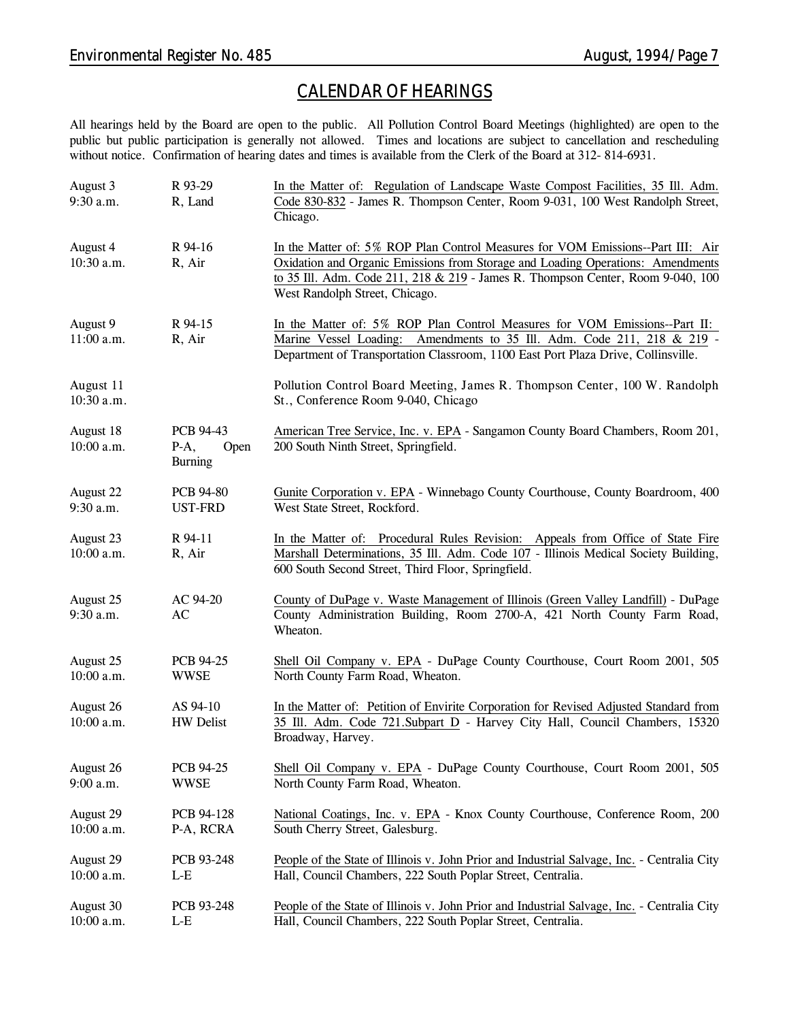# *CALENDAR OF HEARINGS*

All hearings held by the Board are open to the public. All Pollution Control Board Meetings (highlighted) are open to the public but public participation is generally not allowed. Times and locations are subject to cancellation and rescheduling without notice. Confirmation of hearing dates and times is available from the Clerk of the Board at 312-814-6931.

| August 3<br>9:30 a.m.   | R 93-29<br>R, Land                             | In the Matter of: Regulation of Landscape Waste Compost Facilities, 35 Ill. Adm.<br>Code 830-832 - James R. Thompson Center, Room 9-031, 100 West Randolph Street,<br>Chicago.                                                                                                          |
|-------------------------|------------------------------------------------|-----------------------------------------------------------------------------------------------------------------------------------------------------------------------------------------------------------------------------------------------------------------------------------------|
| August 4<br>10:30 a.m.  | R 94-16<br>R, Air                              | In the Matter of: 5% ROP Plan Control Measures for VOM Emissions--Part III: Air<br>Oxidation and Organic Emissions from Storage and Loading Operations: Amendments<br>to 35 Ill. Adm. Code 211, 218 & 219 - James R. Thompson Center, Room 9-040, 100<br>West Randolph Street, Chicago. |
| August 9<br>11:00 a.m.  | R 94-15<br>R, Air                              | In the Matter of: 5% ROP Plan Control Measures for VOM Emissions--Part II:<br>Marine Vessel Loading: Amendments to 35 Ill. Adm. Code 211, 218 & 219 -<br>Department of Transportation Classroom, 1100 East Port Plaza Drive, Collinsville.                                              |
| August 11<br>10:30 a.m. |                                                | Pollution Control Board Meeting, James R. Thompson Center, 100 W. Randolph<br>St., Conference Room 9-040, Chicago                                                                                                                                                                       |
| August 18<br>10:00 a.m. | PCB 94-43<br>$P-A$ ,<br>Open<br><b>Burning</b> | American Tree Service, Inc. v. EPA - Sangamon County Board Chambers, Room 201,<br>200 South Ninth Street, Springfield.                                                                                                                                                                  |
| August 22<br>9:30 a.m.  | <b>PCB 94-80</b><br><b>UST-FRD</b>             | Gunite Corporation v. EPA - Winnebago County Courthouse, County Boardroom, 400<br>West State Street, Rockford.                                                                                                                                                                          |
| August 23<br>10:00 a.m. | R 94-11<br>R, Air                              | In the Matter of: Procedural Rules Revision: Appeals from Office of State Fire<br>Marshall Determinations, 35 Ill. Adm. Code 107 - Illinois Medical Society Building,<br>600 South Second Street, Third Floor, Springfield.                                                             |
| August 25<br>9:30 a.m.  | AC 94-20<br>AC                                 | County of DuPage v. Waste Management of Illinois (Green Valley Landfill) - DuPage<br>County Administration Building, Room 2700-A, 421 North County Farm Road,<br>Wheaton.                                                                                                               |
| August 25<br>10:00 a.m. | PCB 94-25<br><b>WWSE</b>                       | Shell Oil Company v. EPA - DuPage County Courthouse, Court Room 2001, 505<br>North County Farm Road, Wheaton.                                                                                                                                                                           |
| August 26<br>10:00 a.m. | AS 94-10<br><b>HW</b> Delist                   | In the Matter of: Petition of Envirite Corporation for Revised Adjusted Standard from<br>35 Ill. Adm. Code 721. Subpart D - Harvey City Hall, Council Chambers, 15320<br>Broadway, Harvey.                                                                                              |
| August 26<br>9:00 a.m.  | PCB 94-25<br><b>WWSE</b>                       | Shell Oil Company v. EPA - DuPage County Courthouse, Court Room 2001, 505<br>North County Farm Road, Wheaton.                                                                                                                                                                           |
| August 29<br>10:00 a.m. | PCB 94-128<br>P-A, RCRA                        | National Coatings, Inc. v. EPA - Knox County Courthouse, Conference Room, 200<br>South Cherry Street, Galesburg.                                                                                                                                                                        |
| August 29<br>10:00 a.m. | PCB 93-248<br>$L-E$                            | People of the State of Illinois v. John Prior and Industrial Salvage, Inc. - Centralia City<br>Hall, Council Chambers, 222 South Poplar Street, Centralia.                                                                                                                              |
| August 30<br>10:00 a.m. | PCB 93-248<br>$L-E$                            | People of the State of Illinois v. John Prior and Industrial Salvage, Inc. - Centralia City<br>Hall, Council Chambers, 222 South Poplar Street, Centralia.                                                                                                                              |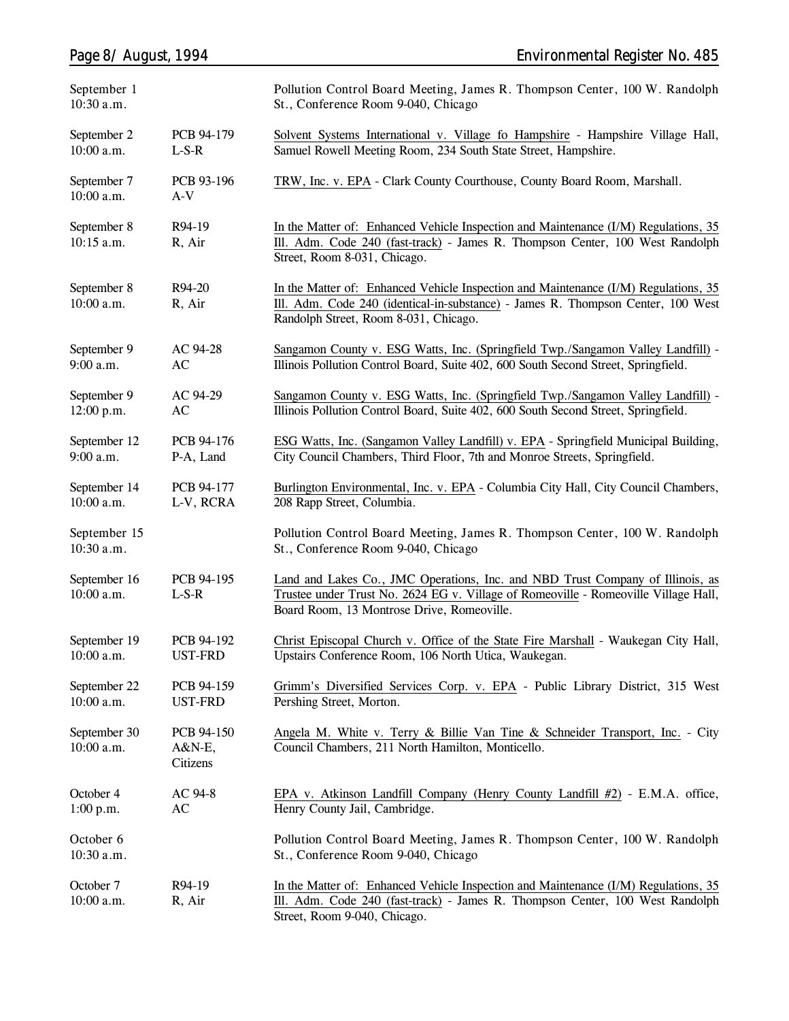| September 1<br>10:30 a.m.    |                                  | Pollution Control Board Meeting, James R. Thompson Center, 100 W. Randolph<br>St., Conference Room 9-040, Chicago                                                                                                   |
|------------------------------|----------------------------------|---------------------------------------------------------------------------------------------------------------------------------------------------------------------------------------------------------------------|
| September 2<br>10:00 a.m.    | PCB 94-179<br>$L-S-R$            | Solvent Systems International v. Village fo Hampshire - Hampshire Village Hall,<br>Samuel Rowell Meeting Room, 234 South State Street, Hampshire.                                                                   |
| September 7<br>10:00 a.m.    | PCB 93-196<br>$A-V$              | TRW, Inc. v. EPA - Clark County Courthouse, County Board Room, Marshall.                                                                                                                                            |
| September 8<br>10:15 a.m.    | R94-19<br>R, Air                 | In the Matter of: Enhanced Vehicle Inspection and Maintenance (I/M) Regulations, 35<br>Ill. Adm. Code 240 (fast-track) - James R. Thompson Center, 100 West Randolph<br>Street, Room 8-031, Chicago.                |
| September 8<br>10:00 a.m.    | R94-20<br>R, Air                 | In the Matter of: Enhanced Vehicle Inspection and Maintenance (I/M) Regulations, 35<br>Ill. Adm. Code 240 (identical-in-substance) - James R. Thompson Center, 100 West<br>Randolph Street, Room 8-031, Chicago.    |
| September 9<br>9:00 a.m.     | AC 94-28<br>AC                   | Sangamon County v. ESG Watts, Inc. (Springfield Twp./Sangamon Valley Landfill) -<br>Illinois Pollution Control Board, Suite 402, 600 South Second Street, Springfield.                                              |
| September 9<br>12:00 p.m.    | AC 94-29<br>AC                   | Sangamon County v. ESG Watts, Inc. (Springfield Twp./Sangamon Valley Landfill) -<br>Illinois Pollution Control Board, Suite 402, 600 South Second Street, Springfield.                                              |
| September 12<br>9:00 a.m.    | PCB 94-176<br>P-A, Land          | ESG Watts, Inc. (Sangamon Valley Landfill) v. EPA - Springfield Municipal Building,<br>City Council Chambers, Third Floor, 7th and Monroe Streets, Springfield.                                                     |
| September 14<br>$10:00$ a.m. | PCB 94-177<br>L-V, RCRA          | Burlington Environmental, Inc. v. EPA - Columbia City Hall, City Council Chambers,<br>208 Rapp Street, Columbia.                                                                                                    |
| September 15<br>10:30 a.m.   |                                  | Pollution Control Board Meeting, James R. Thompson Center, 100 W. Randolph<br>St., Conference Room 9-040, Chicago                                                                                                   |
| September 16<br>10:00 a.m.   | PCB 94-195<br>$L-S-R$            | Land and Lakes Co., JMC Operations, Inc. and NBD Trust Company of Illinois, as<br>Trustee under Trust No. 2624 EG v. Village of Romeoville - Romeoville Village Hall,<br>Board Room, 13 Montrose Drive, Romeoville. |
| September 19<br>10:00 a.m.   | PCB 94-192<br><b>UST-FRD</b>     | Christ Episcopal Church v. Office of the State Fire Marshall - Waukegan City Hall,<br>Upstairs Conference Room, 106 North Utica, Waukegan.                                                                          |
| September 22<br>$10:00$ a.m. | PCB 94-159<br><b>UST-FRD</b>     | Grimm's Diversified Services Corp. v. EPA - Public Library District, 315 West<br>Pershing Street, Morton.                                                                                                           |
| September 30<br>$10:00$ a.m. | PCB 94-150<br>A&N-E,<br>Citizens | Angela M. White v. Terry & Billie Van Tine & Schneider Transport, Inc. - City<br>Council Chambers, 211 North Hamilton, Monticello.                                                                                  |
| October 4<br>1:00 p.m.       | AC 94-8<br>AC                    | EPA v. Atkinson Landfill Company (Henry County Landfill #2) - E.M.A. office,<br>Henry County Jail, Cambridge.                                                                                                       |
| October 6<br>10:30 a.m.      |                                  | Pollution Control Board Meeting, James R. Thompson Center, 100 W. Randolph<br>St., Conference Room 9-040, Chicago                                                                                                   |
| October 7<br>10:00 a.m.      | R94-19<br>R, Air                 | In the Matter of: Enhanced Vehicle Inspection and Maintenance (I/M) Regulations, 35<br>Ill. Adm. Code 240 (fast-track) - James R. Thompson Center, 100 West Randolph<br>Street, Room 9-040, Chicago.                |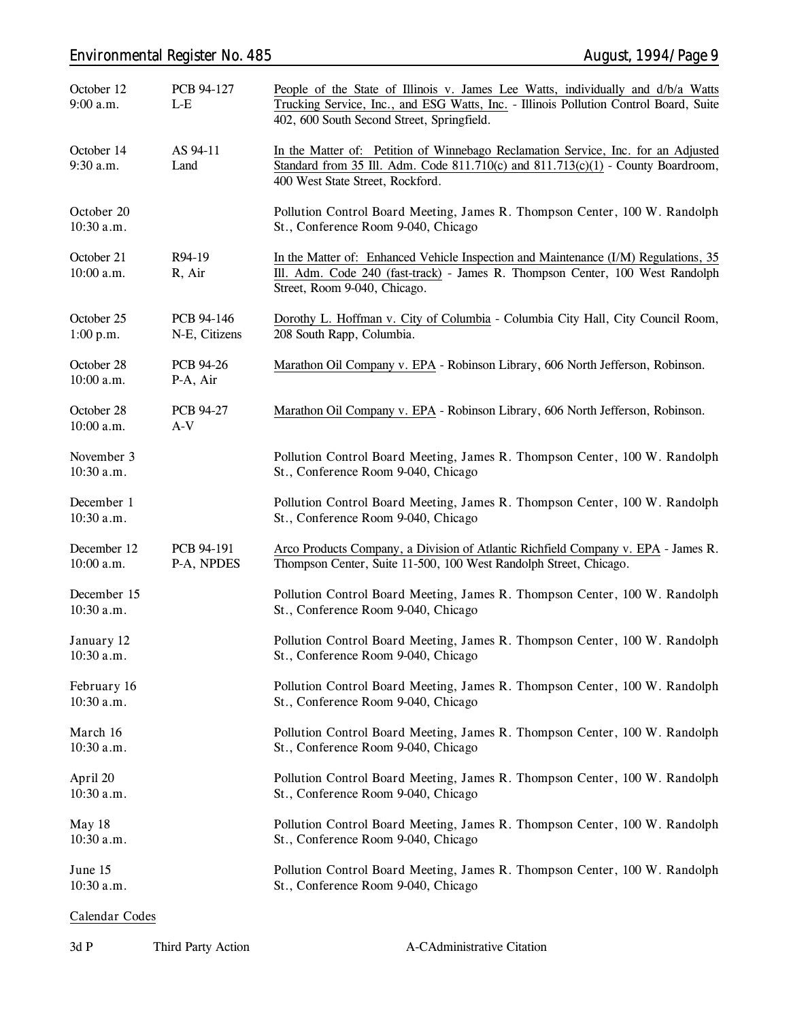# *Environmental Register No. 485 August, 1994/Page 9*

| October 12<br>9:00 a.m.    | PCB 94-127<br>L-E            | People of the State of Illinois v. James Lee Watts, individually and d/b/a Watts<br>Trucking Service, Inc., and ESG Watts, Inc. - Illinois Pollution Control Board, Suite<br>402, 600 South Second Street, Springfield. |  |
|----------------------------|------------------------------|-------------------------------------------------------------------------------------------------------------------------------------------------------------------------------------------------------------------------|--|
| October 14<br>9:30 a.m.    | AS 94-11<br>Land             | In the Matter of: Petition of Winnebago Reclamation Service, Inc. for an Adjusted<br>Standard from 35 Ill. Adm. Code 811.710(c) and 811.713(c)(1) - County Boardroom,<br>400 West State Street, Rockford.               |  |
| October 20<br>10:30 a.m.   |                              | Pollution Control Board Meeting, James R. Thompson Center, 100 W. Randolph<br>St., Conference Room 9-040, Chicago                                                                                                       |  |
| October 21<br>10:00 a.m.   | R94-19<br>R, Air             | In the Matter of: Enhanced Vehicle Inspection and Maintenance (I/M) Regulations, 35<br>Ill. Adm. Code 240 (fast-track) - James R. Thompson Center, 100 West Randolph<br>Street, Room 9-040, Chicago.                    |  |
| October 25<br>1:00 p.m.    | PCB 94-146<br>N-E, Citizens  | Dorothy L. Hoffman v. City of Columbia - Columbia City Hall, City Council Room,<br>208 South Rapp, Columbia.                                                                                                            |  |
| October 28<br>10:00 a.m.   | <b>PCB 94-26</b><br>P-A, Air | Marathon Oil Company v. EPA - Robinson Library, 606 North Jefferson, Robinson.                                                                                                                                          |  |
| October 28<br>10:00 a.m.   | <b>PCB 94-27</b><br>$A-V$    | Marathon Oil Company v. EPA - Robinson Library, 606 North Jefferson, Robinson.                                                                                                                                          |  |
| November 3<br>10:30 a.m.   |                              | Pollution Control Board Meeting, James R. Thompson Center, 100 W. Randolph<br>St., Conference Room 9-040, Chicago                                                                                                       |  |
| December 1<br>10:30 a.m.   |                              | Pollution Control Board Meeting, James R. Thompson Center, 100 W. Randolph<br>St., Conference Room 9-040, Chicago                                                                                                       |  |
| December 12<br>10:00 a.m.  | PCB 94-191<br>P-A, NPDES     | Arco Products Company, a Division of Atlantic Richfield Company v. EPA - James R.<br>Thompson Center, Suite 11-500, 100 West Randolph Street, Chicago.                                                                  |  |
| December 15<br>10:30 a.m.  |                              | Pollution Control Board Meeting, James R. Thompson Center, 100 W. Randolph<br>St., Conference Room 9-040, Chicago                                                                                                       |  |
| January 12<br>$10:30$ a.m. |                              | Pollution Control Board Meeting, James R. Thompson Center, 100 W. Randolph<br>St., Conference Room 9-040, Chicago                                                                                                       |  |
| February 16<br>10:30 a.m.  |                              | Pollution Control Board Meeting, James R. Thompson Center, 100 W. Randolph<br>St., Conference Room 9-040, Chicago                                                                                                       |  |
| March 16<br>10:30 a.m.     |                              | Pollution Control Board Meeting, James R. Thompson Center, 100 W. Randolph<br>St., Conference Room 9-040, Chicago                                                                                                       |  |
| April 20<br>10:30 a.m.     |                              | Pollution Control Board Meeting, James R. Thompson Center, 100 W. Randolph<br>St., Conference Room 9-040, Chicago                                                                                                       |  |
| May 18<br>$10:30$ a.m.     |                              | Pollution Control Board Meeting, James R. Thompson Center, 100 W. Randolph<br>St., Conference Room 9-040, Chicago                                                                                                       |  |
| June 15<br>10:30 a.m.      |                              | Pollution Control Board Meeting, James R. Thompson Center, 100 W. Randolph<br>St., Conference Room 9-040, Chicago                                                                                                       |  |

# **Calendar Codes**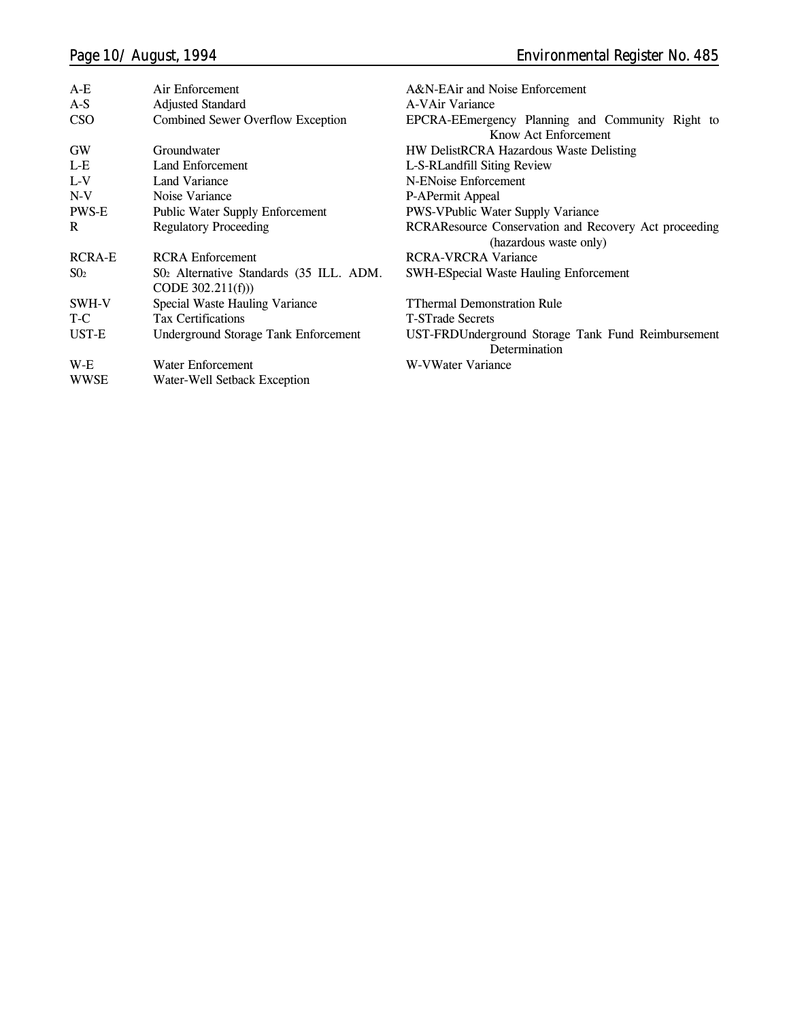| $A-E$         | Air Enforcement                                               | A&N-EAir and Noise Enforcement                                                  |
|---------------|---------------------------------------------------------------|---------------------------------------------------------------------------------|
| $A-S$         | <b>Adjusted Standard</b>                                      | A-VAir Variance                                                                 |
| <b>CSO</b>    | Combined Sewer Overflow Exception                             | EPCRA-EEmergency Planning and Community Right to                                |
|               |                                                               | Know Act Enforcement                                                            |
| <b>GW</b>     | Groundwater                                                   | HW DelistRCRA Hazardous Waste Delisting                                         |
| L-E           | Land Enforcement                                              | L-S-RLandfill Siting Review                                                     |
| $L-V$         | Land Variance                                                 | N-ENoise Enforcement                                                            |
| $N-V$         | Noise Variance                                                | P-APermit Appeal                                                                |
| PWS-E         | <b>Public Water Supply Enforcement</b>                        | <b>PWS-VPublic Water Supply Variance</b>                                        |
| R             | <b>Regulatory Proceeding</b>                                  | RCRAResource Conservation and Recovery Act proceeding<br>(hazardous waste only) |
| <b>RCRA-E</b> | <b>RCRA</b> Enforcement                                       | <b>RCRA-VRCRA Variance</b>                                                      |
| $S_{02}$      | S02 Alternative Standards (35 ILL. ADM.<br>CODE $302.211(f))$ | <b>SWH-ESpecial Waste Hauling Enforcement</b>                                   |
| SWH-V         | Special Waste Hauling Variance                                | <b>TThermal Demonstration Rule</b>                                              |
| T-C           | <b>Tax Certifications</b>                                     | <b>T-STrade Secrets</b>                                                         |
| UST-E         | <b>Underground Storage Tank Enforcement</b>                   | UST-FRDUnderground Storage Tank Fund Reimbursement<br>Determination             |
| W-E           | Water Enforcement                                             | W-VWater Variance                                                               |
| <b>WWSE</b>   | Water-Well Setback Exception                                  |                                                                                 |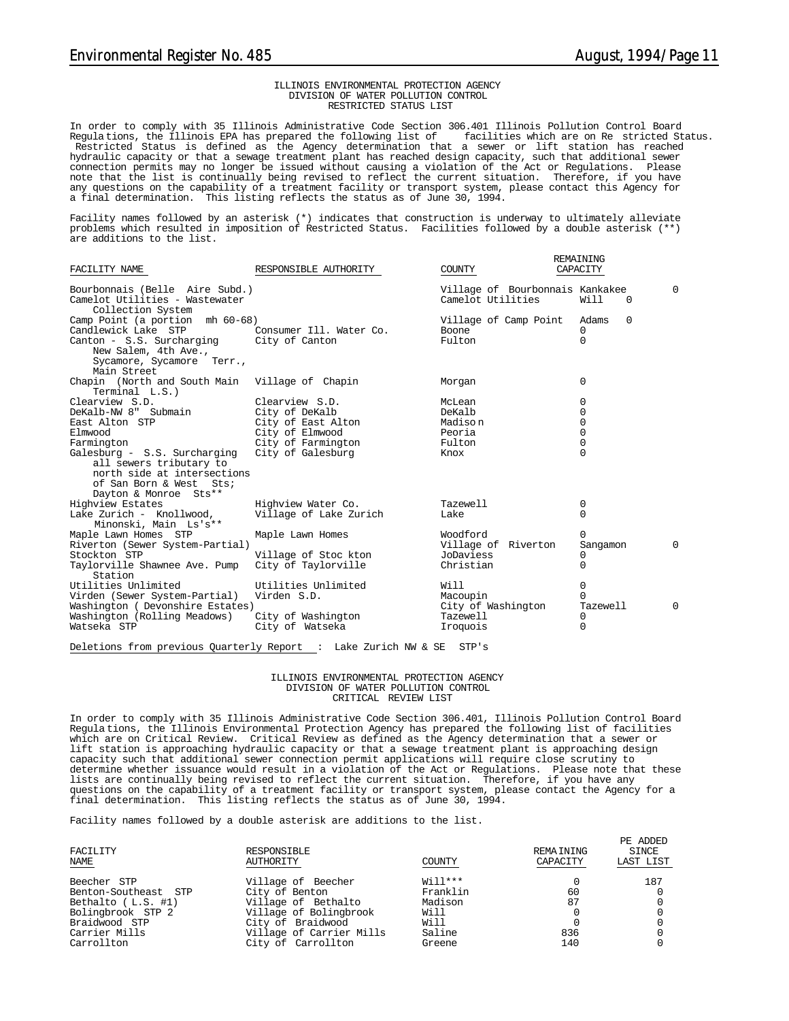REMAINING

#### ILLINOIS ENVIRONMENTAL PROTECTION AGENCY DIVISION OF WATER POLLUTION CONTROL RESTRICTED STATUS LIST

In order to comply with 35 Illinois Administrative Code Section 306.401 Illinois Pollution Control Board Regulations, the Illinois EPA has prepared the following list of Restricted Status is defined as the Agency determination that a sewer or lift station has reached hydraulic capacity or that a sewage treatment plant has reached design capacity, such that additional sewer connection permits may no longer be issued without causing a violation of the Act or Regulations. Please note that the list is continually being revised to reflect the current situation. Therefore, if you have any questions on the capability of a treatment facility or transport system, please contact this Agency for a final determination. This listing reflects the status as of June 30, 1994.

Facility names followed by an asterisk (\*) indicates that construction is underway to ultimately alleviate problems which resulted in imposition of Restricted Status. Facilities followed by a double asterisk (\*\*) are additions to the list.

| FACILITY NAME                                                                                                                              | RESPONSIBLE AUTHORITY   | COUNTY                                               | CAPACITY             |          |
|--------------------------------------------------------------------------------------------------------------------------------------------|-------------------------|------------------------------------------------------|----------------------|----------|
| Bourbonnais (Belle Aire Subd.)<br>Camelot Utilities - Wastewater<br>Collection System                                                      |                         | Village of Bourbonnais Kankakee<br>Camelot Utilities | Will<br>$\Omega$     | $\Omega$ |
| Camp Point (a portion mh 60-68)                                                                                                            |                         | Village of Camp Point                                | $\Omega$<br>Adams    |          |
| Candlewick Lake STP                                                                                                                        | Consumer Ill. Water Co. | Boone                                                | 0                    |          |
| Canton - S.S. Surcharging<br>New Salem, 4th Ave.,                                                                                          | City of Canton          | Fulton                                               | 0                    |          |
| Sycamore, Sycamore Terr.,<br>Main Street                                                                                                   |                         |                                                      |                      |          |
| Chapin (North and South Main Village of Chapin<br>Terminal L.S.)                                                                           |                         | Morgan                                               | 0                    |          |
| Clearview S.D.                                                                                                                             | Clearview S.D.          | McLean                                               | 0                    |          |
| DeKalb-NW 8" Submain                                                                                                                       | City of DeKalb          | DeKalb                                               | 0                    |          |
| East Alton STP                                                                                                                             | City of East Alton      | Madison                                              | $\mathbf 0$          |          |
| Elmwood                                                                                                                                    | City of Elmwood         | Peoria                                               | 0                    |          |
| Farmington                                                                                                                                 | City of Farmington      | Fulton                                               | 0                    |          |
| Galesburg - S.S. Surcharging<br>all sewers tributary to<br>north side at intersections<br>of San Born & West Sts;<br>Dayton & Monroe Sts** | City of Galesburg       | Knox                                                 | $\Omega$             |          |
| Highview Estates                                                                                                                           | Highview Water Co.      | Tazewell                                             | 0                    |          |
| Lake Zurich - Knollwood,<br>Minonski, Main Ls's**                                                                                          | Village of Lake Zurich  | Lake                                                 | $\Omega$             |          |
| Maple Lawn Homes STP<br>Riverton (Sewer System-Partial)                                                                                    | Maple Lawn Homes        | Woodford<br>Village of Riverton                      | 0<br>Sangamon        | $\Omega$ |
| Stockton STP                                                                                                                               | Village of Stoc kton    | JoDaviess                                            | 0                    |          |
| Taylorville Shawnee Ave. Pump<br>Station                                                                                                   | City of Taylorville     | Christian                                            | 0                    |          |
| Utilities Unlimited                                                                                                                        | Utilities Unlimited     | Will                                                 | 0                    |          |
| Virden (Sewer System-Partial)<br>Washington (Devonshire Estates)                                                                           | Virden S.D.             | Macoupin<br>City of Washington                       | $\Omega$<br>Tazewell | $\Omega$ |
| Washington (Rolling Meadows)                                                                                                               | City of Washington      | Tazewell                                             | 0                    |          |
| Watseka STP                                                                                                                                | City of Watseka         | Iroquois                                             | $\Omega$             |          |
|                                                                                                                                            |                         |                                                      |                      |          |

Deletions from previous Quarterly Report : Lake Zurich NW & SE STP's

#### ILLINOIS ENVIRONMENTAL PROTECTION AGENCY DIVISION OF WATER POLLUTION CONTROL CRITICAL REVIEW LIST

In order to comply with 35 Illinois Administrative Code Section 306.401, Illinois Pollution Control Board Regula tions, the Illinois Environmental Protection Agency has prepared the following list of facilities which are on Critical Review. Critical Review as defined as the Agency determination that a sewer or lift station is approaching hydraulic capacity or that a sewage treatment plant is approaching design capacity such that additional sewer connection permit applications will require close scrutiny to determine whether issuance would result in a violation of the Act or Regulations. Please note that these<br>lists are continually being revised to reflect the current situation. Therefore, if you have any<br>questions on the c final determination. This listing reflects the status as of June 30, 1994.

Facility names followed by a double asterisk are additions to the list.

| FACILITY<br><b>NAME</b> | RESPONSIBLE<br>AUTHORITY | COUNTY    | REMAINING<br>CAPACITY | PE ADDED<br>SINCE<br>LAST LIST |
|-------------------------|--------------------------|-----------|-----------------------|--------------------------------|
| Beecher STP             | Village of Beecher       | $Wi11***$ |                       | 187                            |
| Benton-Southeast STP    | City of Benton           | Franklin  | 60                    |                                |
| Bethalto $(L.S. #1)$    | Village of Bethalto      | Madison   | 87                    |                                |
| Bolingbrook STP 2       | Village of Bolingbrook   | Will      |                       |                                |
| Braidwood STP           | City of Braidwood        | Will      |                       |                                |
| Carrier Mills           | Village of Carrier Mills | Saline    | 836                   |                                |
| Carrollton              | City of Carrollton       | Greene    | 140                   |                                |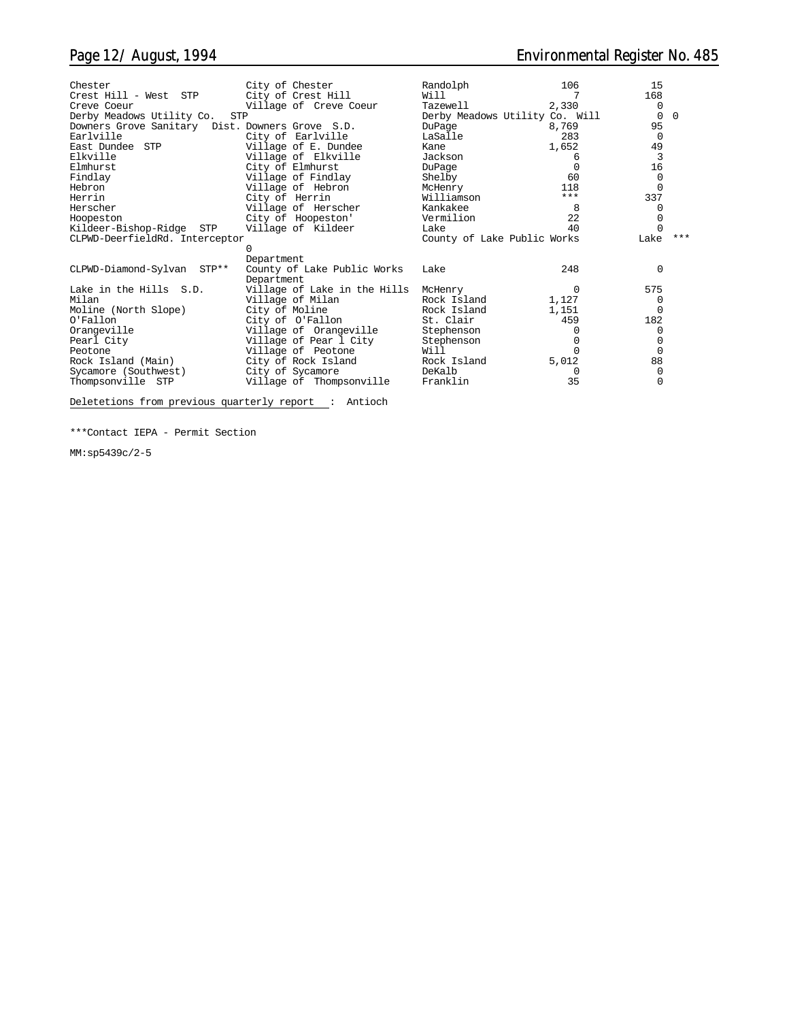| Randolph    | 106                                                                              | 15                                                                                                   |                               |
|-------------|----------------------------------------------------------------------------------|------------------------------------------------------------------------------------------------------|-------------------------------|
|             |                                                                                  |                                                                                                      |                               |
| Tazewell    | 2,330                                                                            | $\Omega$                                                                                             |                               |
|             |                                                                                  | $\Omega$                                                                                             | $\Omega$                      |
| DuPage      | 8,769                                                                            | 95                                                                                                   |                               |
| LaSalle     |                                                                                  | $\Omega$                                                                                             |                               |
| Kane        |                                                                                  |                                                                                                      |                               |
| Jackson     | 6                                                                                | 3                                                                                                    |                               |
| DuPage      | <sup>0</sup>                                                                     |                                                                                                      |                               |
| Shelby      | 60                                                                               | $\Omega$                                                                                             |                               |
| McHenry     | 118                                                                              |                                                                                                      |                               |
| Williamson  |                                                                                  | 337                                                                                                  |                               |
| Kankakee    | 8                                                                                |                                                                                                      |                               |
| Vermilion   | 22                                                                               |                                                                                                      |                               |
| Lake        | 40                                                                               |                                                                                                      |                               |
|             |                                                                                  | Lake                                                                                                 | $***$                         |
|             |                                                                                  |                                                                                                      |                               |
|             |                                                                                  |                                                                                                      |                               |
| Lake        |                                                                                  | <sup>0</sup>                                                                                         |                               |
|             |                                                                                  |                                                                                                      |                               |
| McHenry     | 0                                                                                |                                                                                                      |                               |
|             | 1,127                                                                            |                                                                                                      |                               |
|             | 1,151                                                                            |                                                                                                      |                               |
| St. Clair   |                                                                                  |                                                                                                      |                               |
| Stephenson  |                                                                                  |                                                                                                      |                               |
|             |                                                                                  |                                                                                                      |                               |
| Will        |                                                                                  | $\Omega$                                                                                             |                               |
| Rock Island | 5,012                                                                            | 88                                                                                                   |                               |
| DeKalb      | 0                                                                                |                                                                                                      |                               |
| Franklin    | 35                                                                               |                                                                                                      |                               |
|             | Will<br>Village of Lake in the Hills<br>Rock Island<br>Rock Island<br>Stephenson | Derby Meadows Utility Co. Will<br>283<br>1,652<br>$***$<br>County of Lake Public Works<br>248<br>459 | 168<br>49<br>16<br>575<br>182 |

Deletetions from previous quarterly report : Antioch

\*\*\*Contact IEPA - Permit Section

MM:sp5439c/2-5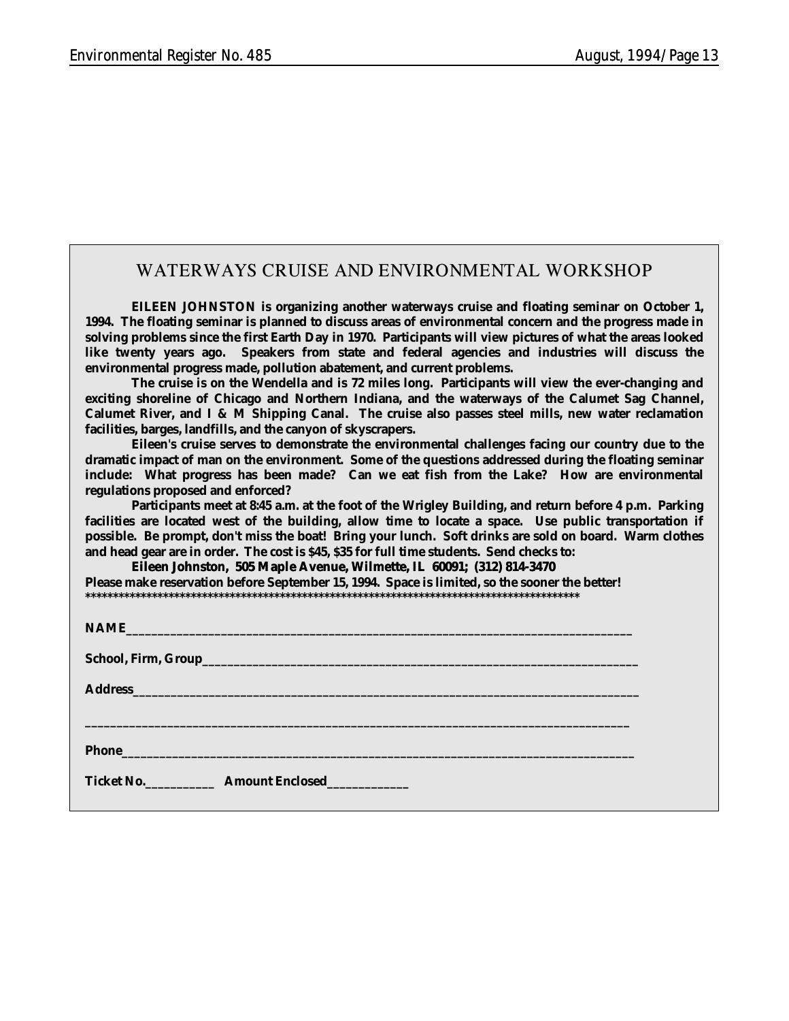# **WATERWAYS CRUISE AND ENVIRONMENTAL WORKSHOP**

**EILEEN JOHNSTON is organizing another waterways cruise and floating seminar on October 1, 1994. The floating seminar is planned to discuss areas of environmental concern and the progress made in solving problems since the first Earth Day in 1970. Participants will view pictures of what the areas looked like twenty years ago. Speakers from state and federal agencies and industries will discuss the environmental progress made, pollution abatement, and current problems.**

**The cruise is on the Wendella and is 72 miles long. Participants will view the ever-changing and exciting shoreline of Chicago and Northern Indiana, and the waterways of the Calumet Sag Channel, Calumet River, and I & M Shipping Canal. The cruise also passes steel mills, new water reclamation facilities, barges, landfills, and the canyon of skyscrapers.**

**Eileen's cruise serves to demonstrate the environmental challenges facing our country due to the dramatic impact of man on the environment. Some of the questions addressed during the floating seminar include: What progress has been made? Can we eat fish from the Lake? How are environmental regulations proposed and enforced?**

**Participants meet at 8:45 a.m. at the foot of the Wrigley Building, and return before 4 p.m. Parking facilities are located west of the building, allow time to locate a space. Use public transportation if possible. Be prompt, don't miss the boat! Bring your lunch. Soft drinks are sold on board. Warm clothes and head gear are in order. The cost is \$45, \$35 for full time students. Send checks to:**

**Eileen Johnston, 505 Maple Avenue, Wilmette, IL 60091; (312) 814-3470 Please make reservation before September 15, 1994. Space is limited, so the sooner the better! \*\*\*\*\*\*\*\*\*\*\*\*\*\*\*\*\*\*\*\*\*\*\*\*\*\*\*\*\*\*\*\*\*\*\*\*\*\*\*\*\*\*\*\*\*\*\*\*\*\*\*\*\*\*\*\*\*\*\*\*\*\*\*\*\*\*\*\*\*\*\*\*\*\*\*\*\*\*\*\*\*\*\*\*\*\*\*\*\***

| Address and the contract of the contract of the contract of the contract of the contract of the contract of the contract of the contract of the contract of the contract of the contract of the contract of the contract of th |
|--------------------------------------------------------------------------------------------------------------------------------------------------------------------------------------------------------------------------------|
|                                                                                                                                                                                                                                |
| Phone <b>Manual</b>                                                                                                                                                                                                            |
| <b>Ticket No.</b> Amount Enclosed                                                                                                                                                                                              |